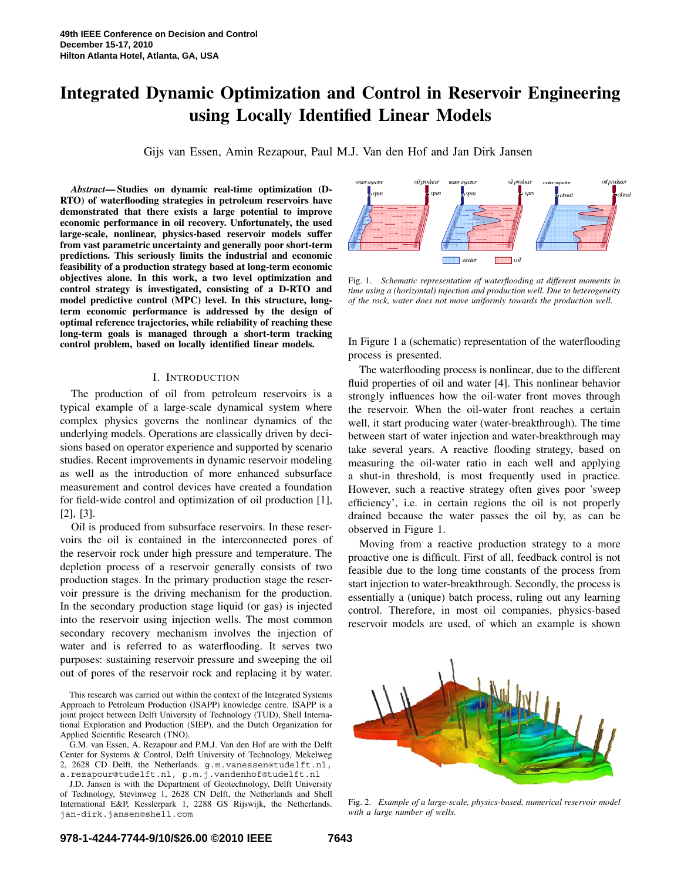# **Integrated Dynamic Optimization and Control in Reservoir Engineering using Locally Identified Linear Models**

Gijs van Essen, Amin Rezapour, Paul M.J. Van den Hof and Jan Dirk Jansen

*Abstract***—Studies on dynamic real-time optimization (D-RTO) of waterflooding strategies in petroleum reservoirs have demonstrated that there exists a large potential to improve economic performance in oil recovery. Unfortunately, the used large-scale, nonlinear, physics-based reservoir models suffer from vast parametric uncertainty and generally poor short-term predictions. This seriously limits the industrial and economic feasibility of a production strategy based at long-term economic objectives alone. In this work, a two level optimization and control strategy is investigated, consisting of a D-RTO and model predictive control (MPC) level. In this structure, longterm economic performance is addressed by the design of optimal reference trajectories, while reliability of reaching these long-term goals is managed through a short-term tracking control problem, based on locally identified linear models.**

#### I. INTRODUCTION

The production of oil from petroleum reservoirs is a typical example of a large-scale dynamical system where complex physics governs the nonlinear dynamics of the underlying models. Operations are classically driven by decisions based on operator experience and supported by scenario studies. Recent improvements in dynamic reservoir modeling as well as the introduction of more enhanced subsurface measurement and control devices have created a foundation for field-wide control and optimization of oil production [1], [2], [3].

Oil is produced from subsurface reservoirs. In these reservoirs the oil is contained in the interconnected pores of the reservoir rock under high pressure and temperature. The depletion process of a reservoir generally consists of two production stages. In the primary production stage the reservoir pressure is the driving mechanism for the production. In the secondary production stage liquid (or gas) is injected into the reservoir using injection wells. The most common secondary recovery mechanism involves the injection of water and is referred to as waterflooding. It serves two purposes: sustaining reservoir pressure and sweeping the oil out of pores of the reservoir rock and replacing it by water.

This research was carried out within the context of the Integrated Systems Approach to Petroleum Production (ISAPP) knowledge centre. ISAPP is a joint project between Delft University of Technology (TUD), Shell International Exploration and Production (SIEP), and the Dutch Organization for Applied Scientific Research (TNO).

G.M. van Essen, A. Rezapour and P.M.J. Van den Hof are with the Delft Center for Systems & Control, Delft University of Technology, Mekelweg 2, 2628 CD Delft, the Netherlands. g.m.vanessen@tudelft.nl, a.rezapour@tudelft.nl, p.m.j.vandenhof@tudelft.nl

J.D. Jansen is with the Department of Geotechnology, Delft University of Technology, Stevinweg 1, 2628 CN Delft, the Netherlands and Shell International E&P, Kesslerpark 1, 2288 GS Rijswijk, the Netherlands. jan-dirk.jansen@shell.com



Fig. 1. *Schematic representation of waterflooding at different moments in time using a (horizontal) injection and production well. Due to heterogeneity of the rock, water does not move uniformly towards the production well.*

In Figure 1 a (schematic) representation of the waterflooding process is presented.

The waterflooding process is nonlinear, due to the different fluid properties of oil and water [4]. This nonlinear behavior strongly influences how the oil-water front moves through the reservoir. When the oil-water front reaches a certain well, it start producing water (water-breakthrough). The time between start of water injection and water-breakthrough may take several years. A reactive flooding strategy, based on measuring the oil-water ratio in each well and applying a shut-in threshold, is most frequently used in practice. However, such a reactive strategy often gives poor 'sweep efficiency', i.e. in certain regions the oil is not properly drained because the water passes the oil by, as can be observed in Figure 1.

Moving from a reactive production strategy to a more proactive one is difficult. First of all, feedback control is not feasible due to the long time constants of the process from start injection to water-breakthrough. Secondly, the process is essentially a (unique) batch process, ruling out any learning control. Therefore, in most oil companies, physics-based reservoir models are used, of which an example is shown



Fig. 2. *Example of a large-scale, physics-based, numerical reservoir model with a large number of wells.*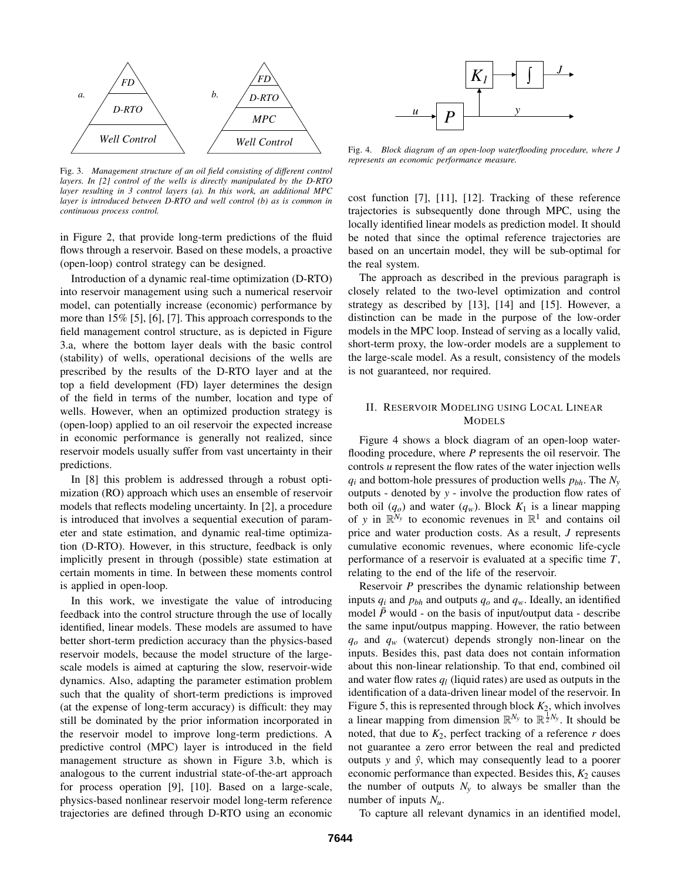

Fig. 3. *Management structure of an oil field consisting of different control layers. In [2] control of the wells is directly manipulated by the D-RTO layer resulting in 3 control layers (a). In this work, an additional MPC layer is introduced between D-RTO and well control (b) as is common in continuous process control.*

in Figure 2, that provide long-term predictions of the fluid flows through a reservoir. Based on these models, a proactive (open-loop) control strategy can be designed.

Introduction of a dynamic real-time optimization (D-RTO) into reservoir management using such a numerical reservoir model, can potentially increase (economic) performance by more than 15% [5], [6], [7]. This approach corresponds to the field management control structure, as is depicted in Figure 3.a, where the bottom layer deals with the basic control (stability) of wells, operational decisions of the wells are prescribed by the results of the D-RTO layer and at the top a field development (FD) layer determines the design of the field in terms of the number, location and type of wells. However, when an optimized production strategy is (open-loop) applied to an oil reservoir the expected increase in economic performance is generally not realized, since reservoir models usually suffer from vast uncertainty in their predictions.

In [8] this problem is addressed through a robust optimization (RO) approach which uses an ensemble of reservoir models that reflects modeling uncertainty. In [2], a procedure is introduced that involves a sequential execution of parameter and state estimation, and dynamic real-time optimization (D-RTO). However, in this structure, feedback is only implicitly present in through (possible) state estimation at certain moments in time. In between these moments control is applied in open-loop.

In this work, we investigate the value of introducing feedback into the control structure through the use of locally identified, linear models. These models are assumed to have better short-term prediction accuracy than the physics-based reservoir models, because the model structure of the largescale models is aimed at capturing the slow, reservoir-wide dynamics. Also, adapting the parameter estimation problem such that the quality of short-term predictions is improved (at the expense of long-term accuracy) is difficult: they may still be dominated by the prior information incorporated in the reservoir model to improve long-term predictions. A predictive control (MPC) layer is introduced in the field management structure as shown in Figure 3.b, which is analogous to the current industrial state-of-the-art approach for process operation [9], [10]. Based on a large-scale, physics-based nonlinear reservoir model long-term reference trajectories are defined through D-RTO using an economic



Fig. 4. *Block diagram of an open-loop waterflooding procedure, where J represents an economic performance measure.*

cost function [7], [11], [12]. Tracking of these reference trajectories is subsequently done through MPC, using the locally identified linear models as prediction model. It should be noted that since the optimal reference trajectories are based on an uncertain model, they will be sub-optimal for the real system.

The approach as described in the previous paragraph is closely related to the two-level optimization and control strategy as described by [13], [14] and [15]. However, a distinction can be made in the purpose of the low-order models in the MPC loop. Instead of serving as a locally valid, short-term proxy, the low-order models are a supplement to the large-scale model. As a result, consistency of the models is not guaranteed, nor required.

# II. RESERVOIR MODELING USING LOCAL LINEAR **MODELS**

Figure 4 shows a block diagram of an open-loop waterflooding procedure, where *P* represents the oil reservoir. The controls *u* represent the flow rates of the water injection wells  $q_i$  and bottom-hole pressures of production wells  $p_{bh}$ . The  $N_v$ outputs - denoted by *y* - involve the production flow rates of both oil  $(q_o)$  and water  $(q_w)$ . Block  $K_1$  is a linear mapping of y in  $\mathbb{R}^{N_y}$  to economic revenues in  $\mathbb{R}^1$  and contains oil price and water production costs. As a result, *J* represents cumulative economic revenues, where economic life-cycle performance of a reservoir is evaluated at a specific time *T*, relating to the end of the life of the reservoir.

Reservoir *P* prescribes the dynamic relationship between inputs  $q_i$  and  $p_{bh}$  and outputs  $q_o$  and  $q_w$ . Ideally, an identified model  $\bar{P}$  would - on the basis of input/output data - describe the same input/outpus mapping. However, the ratio between *q<sup>o</sup>* and *q<sup>w</sup>* (watercut) depends strongly non-linear on the inputs. Besides this, past data does not contain information about this non-linear relationship. To that end, combined oil and water flow rates *q<sup>l</sup>* (liquid rates) are used as outputs in the identification of a data-driven linear model of the reservoir. In Figure 5, this is represented through block *K*2, which involves a linear mapping from dimension  $\mathbb{R}^{N_y}$  to  $\mathbb{R}^{\frac{1}{2}N_y}$ . It should be noted, that due to  $K_2$ , perfect tracking of a reference  $r$  does not guarantee a zero error between the real and predicted outputs  $y$  and  $\hat{y}$ , which may consequently lead to a poorer economic performance than expected. Besides this,  $K_2$  causes the number of outputs  $N<sub>y</sub>$  to always be smaller than the number of inputs *Nu*.

To capture all relevant dynamics in an identified model,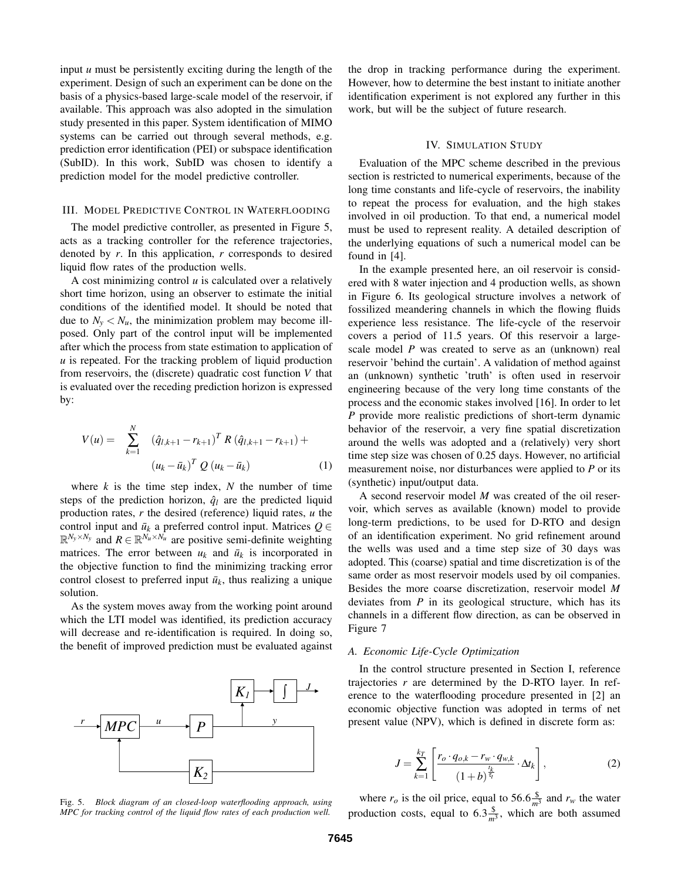input *u* must be persistently exciting during the length of the experiment. Design of such an experiment can be done on the basis of a physics-based large-scale model of the reservoir, if available. This approach was also adopted in the simulation study presented in this paper. System identification of MIMO systems can be carried out through several methods, e.g. prediction error identification (PEI) or subspace identification (SubID). In this work, SubID was chosen to identify a prediction model for the model predictive controller.

## III. MODEL PREDICTIVE CONTROL IN WATERFLOODING

The model predictive controller, as presented in Figure 5, acts as a tracking controller for the reference trajectories, denoted by *r*. In this application, *r* corresponds to desired liquid flow rates of the production wells.

A cost minimizing control *u* is calculated over a relatively short time horizon, using an observer to estimate the initial conditions of the identified model. It should be noted that due to  $N_y < N_u$ , the minimization problem may become illposed. Only part of the control input will be implemented after which the process from state estimation to application of *u* is repeated. For the tracking problem of liquid production from reservoirs, the (discrete) quadratic cost function *V* that is evaluated over the receding prediction horizon is expressed by:

$$
V(u) = \sum_{k=1}^{N} (\hat{q}_{l,k+1} - r_{k+1})^{T} R (\hat{q}_{l,k+1} - r_{k+1}) +
$$

$$
(u_{k} - \bar{u}_{k})^{T} Q (u_{k} - \bar{u}_{k}) \qquad (1)
$$

where  $k$  is the time step index,  $N$  the number of time steps of the prediction horizon,  $\hat{q}_l$  are the predicted liquid production rates, *r* the desired (reference) liquid rates, *u* the control input and  $\bar{u}_k$  a preferred control input. Matrices  $Q \in$  $\mathbb{R}^{N_y \times N_y}$  and  $R \in \mathbb{R}^{N_u \times N_u}$  are positive semi-definite weighting matrices. The error between  $u_k$  and  $\bar{u}_k$  is incorporated in the objective function to find the minimizing tracking error control closest to preferred input  $\bar{u}_k$ , thus realizing a unique solution.

As the system moves away from the working point around which the LTI model was identified, its prediction accuracy will decrease and re-identification is required. In doing so, the benefit of improved prediction must be evaluated against



Fig. 5. *Block diagram of an closed-loop waterflooding approach, using MPC for tracking control of the liquid flow rates of each production well.*

the drop in tracking performance during the experiment. However, how to determine the best instant to initiate another identification experiment is not explored any further in this work, but will be the subject of future research.

### IV. SIMULATION STUDY

Evaluation of the MPC scheme described in the previous section is restricted to numerical experiments, because of the long time constants and life-cycle of reservoirs, the inability to repeat the process for evaluation, and the high stakes involved in oil production. To that end, a numerical model must be used to represent reality. A detailed description of the underlying equations of such a numerical model can be found in [4].

In the example presented here, an oil reservoir is considered with 8 water injection and 4 production wells, as shown in Figure 6. Its geological structure involves a network of fossilized meandering channels in which the flowing fluids experience less resistance. The life-cycle of the reservoir covers a period of 11.5 years. Of this reservoir a largescale model *P* was created to serve as an (unknown) real reservoir 'behind the curtain'. A validation of method against an (unknown) synthetic 'truth' is often used in reservoir engineering because of the very long time constants of the process and the economic stakes involved [16]. In order to let *P* provide more realistic predictions of short-term dynamic behavior of the reservoir, a very fine spatial discretization around the wells was adopted and a (relatively) very short time step size was chosen of 0.25 days. However, no artificial measurement noise, nor disturbances were applied to *P* or its (synthetic) input/output data.

A second reservoir model *M* was created of the oil reservoir, which serves as available (known) model to provide long-term predictions, to be used for D-RTO and design of an identification experiment. No grid refinement around the wells was used and a time step size of 30 days was adopted. This (coarse) spatial and time discretization is of the same order as most reservoir models used by oil companies. Besides the more coarse discretization, reservoir model *M* deviates from *P* in its geological structure, which has its channels in a different flow direction, as can be observed in Figure 7

#### *A. Economic Life-Cycle Optimization*

In the control structure presented in Section I, reference trajectories *r* are determined by the D-RTO layer. In reference to the waterflooding procedure presented in [2] an economic objective function was adopted in terms of net present value (NPV), which is defined in discrete form as:

$$
J = \sum_{k=1}^{k_T} \left[ \frac{r_o \cdot q_{o,k} - r_w \cdot q_{w,k}}{(1+b)^{\frac{l_k}{l_i}}} \cdot \Delta t_k \right],
$$
 (2)

where  $r_o$  is the oil price, equal to 56.6 $\frac{\$}{m^3}$  and  $r_w$  the water production costs, equal to  $6.3\frac{\$}{m^3}$ , which are both assumed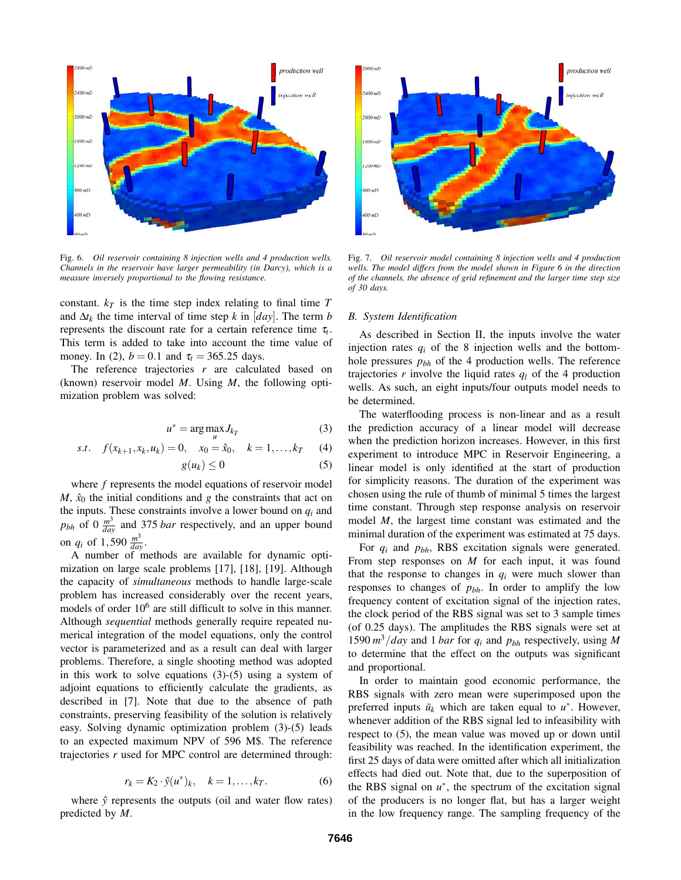

Fig. 6. *Oil reservoir containing 8 injection wells and 4 production wells. Channels in the reservoir have larger permeability (in Darcy), which is a measure inversely proportional to the flowing resistance.*

constant. *k<sup>T</sup>* is the time step index relating to final time *T* and  $\Delta t_k$  the time interval of time step *k* in [*day*]. The term *b* represents the discount rate for a certain reference time  $\tau_t$ . This term is added to take into account the time value of money. In (2),  $b = 0.1$  and  $\tau_t = 365.25$  days.

The reference trajectories *r* are calculated based on (known) reservoir model *M*. Using *M*, the following optimization problem was solved:

$$
u^* = \arg\max_{u} J_{k_T} \tag{3}
$$

s.t. 
$$
f(x_{k+1}, x_k, u_k) = 0
$$
,  $x_0 = \hat{x}_0$ ,  $k = 1, ..., k_T$  (4)

$$
g(u_k) \le 0 \tag{5}
$$

where *f* represents the model equations of reservoir model  $M$ ,  $\hat{x}_0$  the initial conditions and *g* the constraints that act on the inputs. These constraints involve a lower bound on  $q_i$  and  $p_{bh}$  of 0  $\frac{m^3}{da}$  $\frac{m^3}{day}$  and 375 *bar* respectively, and an upper bound on  $q_i$  of 1,590  $\frac{m^3}{da}$ *day* .

A number of methods are available for dynamic optimization on large scale problems [17], [18], [19]. Although the capacity of *simultaneous* methods to handle large-scale problem has increased considerably over the recent years, models of order 10<sup>6</sup> are still difficult to solve in this manner. Although *sequential* methods generally require repeated numerical integration of the model equations, only the control vector is parameterized and as a result can deal with larger problems. Therefore, a single shooting method was adopted in this work to solve equations (3)-(5) using a system of adjoint equations to efficiently calculate the gradients, as described in [7]. Note that due to the absence of path constraints, preserving feasibility of the solution is relatively easy. Solving dynamic optimization problem (3)-(5) leads to an expected maximum NPV of 596 M\$. The reference trajectories *r* used for MPC control are determined through:

$$
r_k = K_2 \cdot \hat{y}(u^*)_k, \quad k = 1, \dots, k_T. \tag{6}
$$

where  $\hat{y}$  represents the outputs (oil and water flow rates) predicted by *M*.



Fig. 7. *Oil reservoir model containing 8 injection wells and 4 production wells. The model differs from the model shown in Figure 6 in the direction of the channels, the absence of grid refinement and the larger time step size of 30 days.*

#### *B. System Identification*

As described in Section II, the inputs involve the water injection rates  $q_i$  of the 8 injection wells and the bottomhole pressures *pbh* of the 4 production wells. The reference trajectories  $r$  involve the liquid rates  $q_l$  of the 4 production wells. As such, an eight inputs/four outputs model needs to be determined.

The waterflooding process is non-linear and as a result the prediction accuracy of a linear model will decrease when the prediction horizon increases. However, in this first experiment to introduce MPC in Reservoir Engineering, a linear model is only identified at the start of production for simplicity reasons. The duration of the experiment was chosen using the rule of thumb of minimal 5 times the largest time constant. Through step response analysis on reservoir model *M*, the largest time constant was estimated and the minimal duration of the experiment was estimated at 75 days.

For *q<sup>i</sup>* and *pbh*, RBS excitation signals were generated. From step responses on *M* for each input, it was found that the response to changes in  $q_i$  were much slower than responses to changes of *pbh*. In order to amplify the low frequency content of excitation signal of the injection rates, the clock period of the RBS signal was set to 3 sample times (of 0.25 days). The amplitudes the RBS signals were set at 1590  $m^3$ /*day* and 1 *bar* for  $q_i$  and  $p_{bh}$  respectively, using M to determine that the effect on the outputs was significant and proportional.

In order to maintain good economic performance, the RBS signals with zero mean were superimposed upon the preferred inputs  $\bar{u}_k$  which are taken equal to  $u^*$ . However, whenever addition of the RBS signal led to infeasibility with respect to (5), the mean value was moved up or down until feasibility was reached. In the identification experiment, the first 25 days of data were omitted after which all initialization effects had died out. Note that, due to the superposition of the RBS signal on  $u^*$ , the spectrum of the excitation signal of the producers is no longer flat, but has a larger weight in the low frequency range. The sampling frequency of the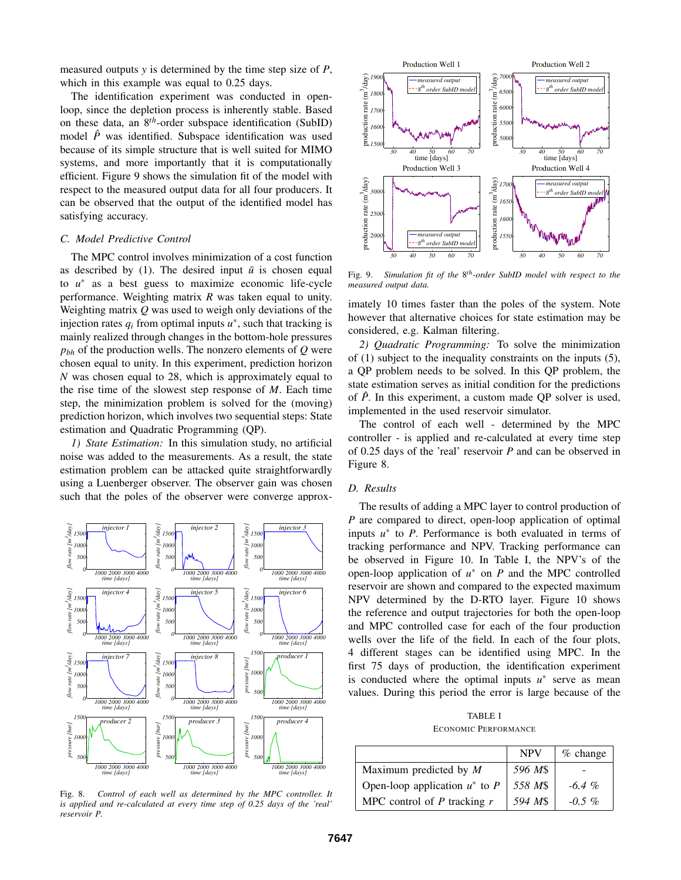measured outputs *y* is determined by the time step size of *P*, which in this example was equal to 0.25 days.

The identification experiment was conducted in openloop, since the depletion process is inherently stable. Based on these data, an 8 *th*-order subspace identification (SubID) model  $\hat{P}$  was identified. Subspace identification was used because of its simple structure that is well suited for MIMO systems, and more importantly that it is computationally efficient. Figure 9 shows the simulation fit of the model with respect to the measured output data for all four producers. It can be observed that the output of the identified model has satisfying accuracy.

# *C. Model Predictive Control*

The MPC control involves minimization of a cost function as described by (1). The desired input  $\bar{u}$  is chosen equal to  $u^*$  as a best guess to maximize economic life-cycle performance. Weighting matrix *R* was taken equal to unity. Weighting matrix *Q* was used to weigh only deviations of the injection rates  $q_i$  from optimal inputs  $u^*$ , such that tracking is mainly realized through changes in the bottom-hole pressures *pbh* of the production wells. The nonzero elements of *Q* were chosen equal to unity. In this experiment, prediction horizon *N* was chosen equal to 28, which is approximately equal to the rise time of the slowest step response of *M*. Each time step, the minimization problem is solved for the (moving) prediction horizon, which involves two sequential steps: State estimation and Quadratic Programming (QP).

*1) State Estimation:* In this simulation study, no artificial noise was added to the measurements. As a result, the state estimation problem can be attacked quite straightforwardly using a Luenberger observer. The observer gain was chosen such that the poles of the observer were converge approx-



Fig. 8. *Control of each well as determined by the MPC controller. It is applied and re-calculated at every time step of 0.25 days of the 'real' reservoir P.*



Fig. 9. *Simulation fit of the* 8 *th-order SubID model with respect to the measured output data.*

imately 10 times faster than the poles of the system. Note however that alternative choices for state estimation may be considered, e.g. Kalman filtering.

*2) Quadratic Programming:* To solve the minimization of (1) subject to the inequality constraints on the inputs (5), a QP problem needs to be solved. In this QP problem, the state estimation serves as initial condition for the predictions of  $\hat{P}$ . In this experiment, a custom made QP solver is used, implemented in the used reservoir simulator.

The control of each well - determined by the MPC controller - is applied and re-calculated at every time step of 0.25 days of the 'real' reservoir *P* and can be observed in Figure 8.

## *D. Results*

The results of adding a MPC layer to control production of *P* are compared to direct, open-loop application of optimal inputs  $u^*$  to *P*. Performance is both evaluated in terms of tracking performance and NPV. Tracking performance can be observed in Figure 10. In Table I, the NPV's of the open-loop application of  $u^*$  on  $P$  and the MPC controlled reservoir are shown and compared to the expected maximum NPV determined by the D-RTO layer. Figure 10 shows the reference and output trajectories for both the open-loop and MPC controlled case for each of the four production wells over the life of the field. In each of the four plots, 4 different stages can be identified using MPC. In the first 75 days of production, the identification experiment is conducted where the optimal inputs  $u^*$  serve as mean values. During this period the error is large because of the

TABLE I ECONOMIC PERFORMANCE

|                                  | <b>NPV</b> | $%$ change |
|----------------------------------|------------|------------|
| Maximum predicted by $M$         | 596 M\$    |            |
| Open-loop application $u^*$ to P | 558 M\$    | $-6.4~\%$  |
| MPC control of $P$ tracking $r$  | 594 M\$    | $-0.5\%$   |